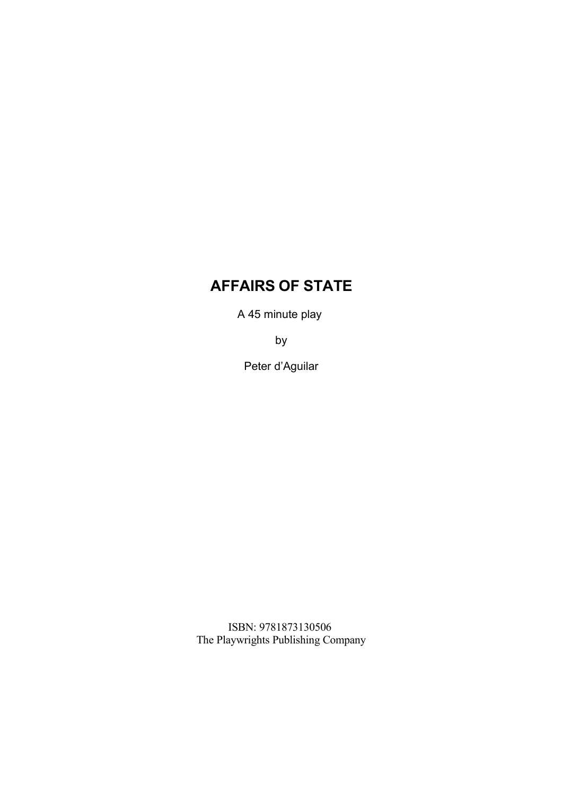# **AFFAIRS OF STATE**

A 45 minute play

by

Peter d'Aguilar

ISBN: 9781873130506 The Playwrights Publishing Company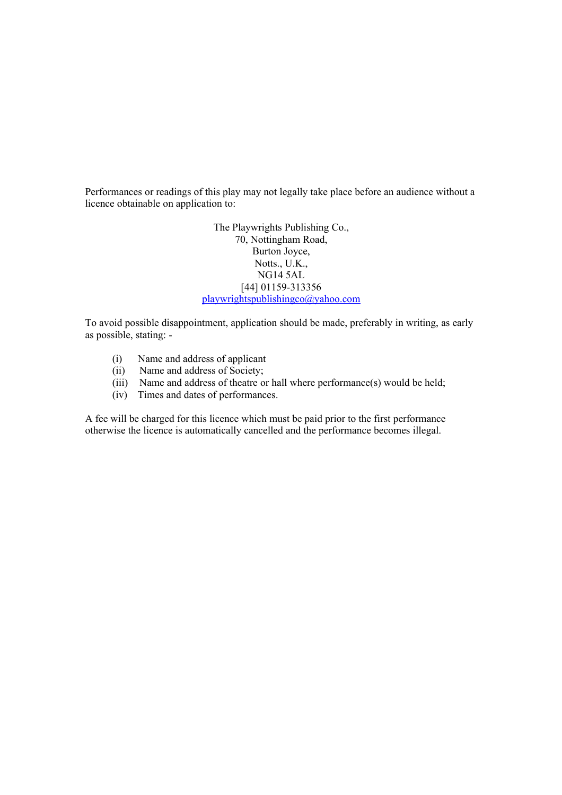Performances or readings of this play may not legally take place before an audience without a licence obtainable on application to:

> The Playwrights Publishing Co., 70, Nottingham Road, Burton Joyce, Notts., U.K., NG14 5AL [44] 01159-313356 [playwrightspublishingco@yahoo.com](mailto:playwrightspublishingco@yahoo.com)

To avoid possible disappointment, application should be made, preferably in writing, as early as possible, stating: -

- (i) Name and address of applicant
- (ii) Name and address of Society;
- (iii) Name and address of theatre or hall where performance(s) would be held;
- (iv) Times and dates of performances.

A fee will be charged for this licence which must be paid prior to the first performance otherwise the licence is automatically cancelled and the performance becomes illegal.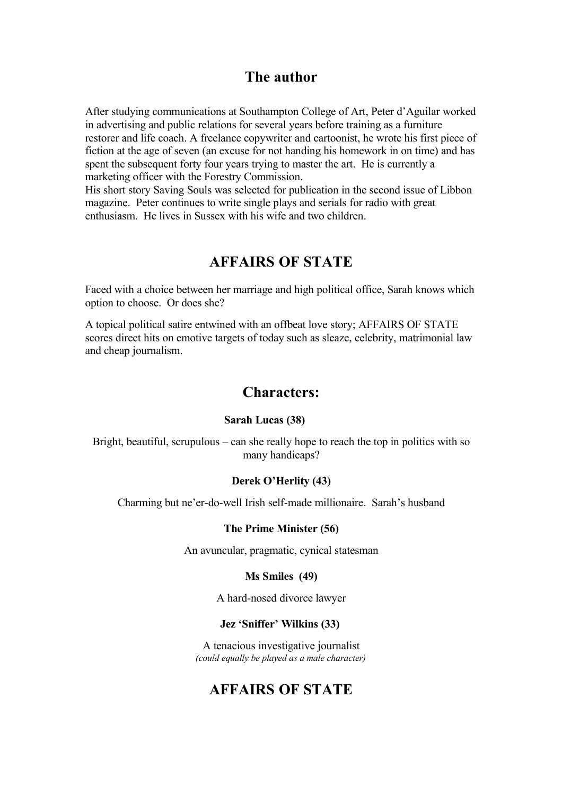## **The author**

After studying communications at Southampton College of Art, Peter d'Aguilar worked in advertising and public relations for several years before training as a furniture restorer and life coach. A freelance copywriter and cartoonist, he wrote his first piece of fiction at the age of seven (an excuse for not handing his homework in on time) and has spent the subsequent forty four years trying to master the art. He is currently a marketing officer with the Forestry Commission.

His short story Saving Souls was selected for publication in the second issue of Libbon magazine. Peter continues to write single plays and serials for radio with great enthusiasm. He lives in Sussex with his wife and two children.

# **AFFAIRS OF STATE**

Faced with a choice between her marriage and high political office, Sarah knows which option to choose. Or does she?

A topical political satire entwined with an offbeat love story; AFFAIRS OF STATE scores direct hits on emotive targets of today such as sleaze, celebrity, matrimonial law and cheap journalism.

### **Characters:**

#### **Sarah Lucas (38)**

Bright, beautiful, scrupulous – can she really hope to reach the top in politics with so many handicaps?

#### **Derek O'Herlity (43)**

Charming but ne'er-do-well Irish self-made millionaire. Sarah's husband

#### **The Prime Minister (56)**

An avuncular, pragmatic, cynical statesman

#### **Ms Smiles (49)**

A hard-nosed divorce lawyer

#### **Jez 'Sniffer' Wilkins (33)**

A tenacious investigative journalist *(could equally be played as a male character)*

# **AFFAIRS OF STATE**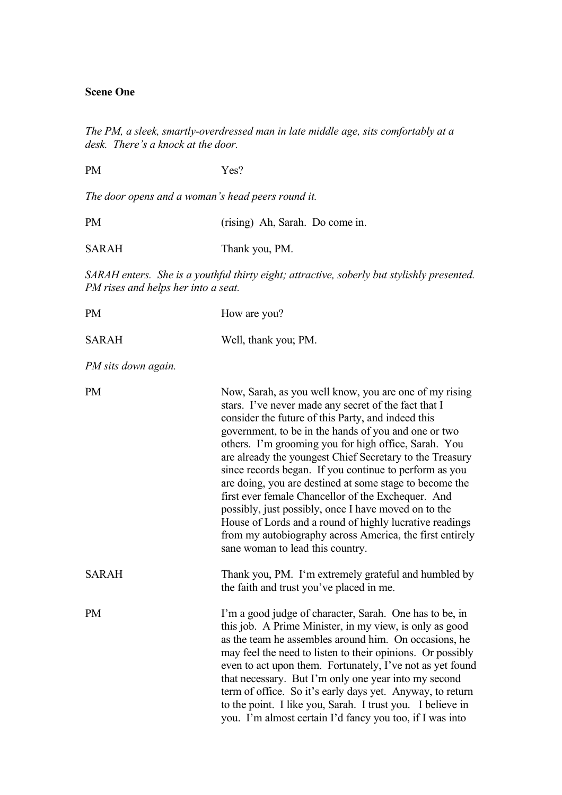#### **Scene One**

*The PM, a sleek, smartly-overdressed man in late middle age, sits comfortably at a desk. There's a knock at the door.* 

*The door opens and a woman's head peers round it.*

PM Yes?

| <b>PM</b>    | (rising) Ah, Sarah. Do come in. |
|--------------|---------------------------------|
| <b>SARAH</b> | Thank you, PM.                  |

*SARAH enters. She is a youthful thirty eight; attractive, soberly but stylishly presented. PM rises and helps her into a seat.*

| <b>PM</b>           | How are you?                                                                                                                                                                                                                                                                                                                                                                                                                                                                                                                                                                                                                                                                                                                                   |
|---------------------|------------------------------------------------------------------------------------------------------------------------------------------------------------------------------------------------------------------------------------------------------------------------------------------------------------------------------------------------------------------------------------------------------------------------------------------------------------------------------------------------------------------------------------------------------------------------------------------------------------------------------------------------------------------------------------------------------------------------------------------------|
| <b>SARAH</b>        | Well, thank you; PM.                                                                                                                                                                                                                                                                                                                                                                                                                                                                                                                                                                                                                                                                                                                           |
| PM sits down again. |                                                                                                                                                                                                                                                                                                                                                                                                                                                                                                                                                                                                                                                                                                                                                |
| <b>PM</b>           | Now, Sarah, as you well know, you are one of my rising<br>stars. I've never made any secret of the fact that I<br>consider the future of this Party, and indeed this<br>government, to be in the hands of you and one or two<br>others. I'm grooming you for high office, Sarah. You<br>are already the youngest Chief Secretary to the Treasury<br>since records began. If you continue to perform as you<br>are doing, you are destined at some stage to become the<br>first ever female Chancellor of the Exchequer. And<br>possibly, just possibly, once I have moved on to the<br>House of Lords and a round of highly lucrative readings<br>from my autobiography across America, the first entirely<br>sane woman to lead this country. |
| <b>SARAH</b>        | Thank you, PM. I'm extremely grateful and humbled by<br>the faith and trust you've placed in me.                                                                                                                                                                                                                                                                                                                                                                                                                                                                                                                                                                                                                                               |
| <b>PM</b>           | I'm a good judge of character, Sarah. One has to be, in<br>this job. A Prime Minister, in my view, is only as good<br>as the team he assembles around him. On occasions, he<br>may feel the need to listen to their opinions. Or possibly<br>even to act upon them. Fortunately, I've not as yet found<br>that necessary. But I'm only one year into my second<br>term of office. So it's early days yet. Anyway, to return<br>to the point. I like you, Sarah. I trust you. I believe in<br>you. I'm almost certain I'd fancy you too, if I was into                                                                                                                                                                                          |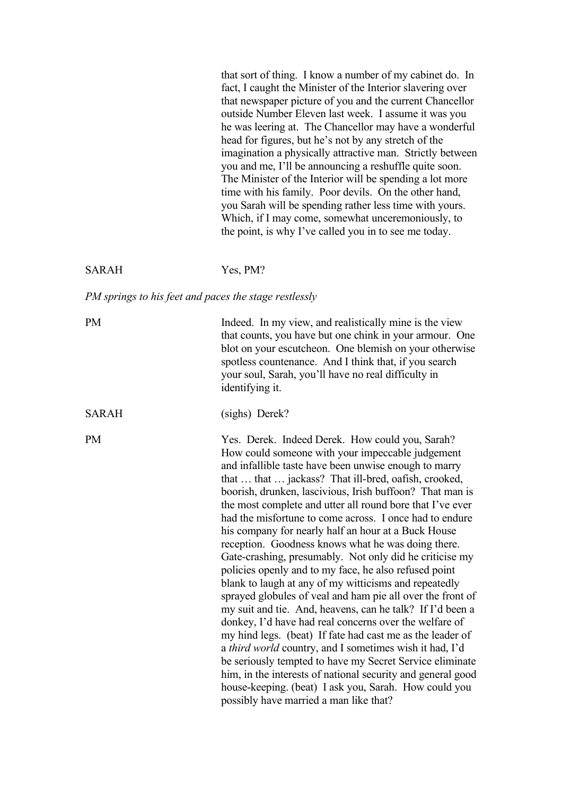that sort of thing. I know a number of my cabinet do. In fact, I caught the Minister of the Interior slavering over that newspaper picture of you and the current Chancellor outside Number Eleven last week. I assume it was you he was leering at. The Chancellor may have a wonderful head for figures, but he's not by any stretch of the imagination a physically attractive man. Strictly between you and me, I'll be announcing a reshuffle quite soon. The Minister of the Interior will be spending a lot more time with his family. Poor devils. On the other hand, you Sarah will be spending rather less time with yours. Which, if I may come, somewhat unceremoniously, to the point, is why I've called you in to see me today.

#### SARAH Yes, PM?

#### *PM springs to his feet and paces the stage restlessly*

| <b>PM</b>    | Indeed. In my view, and realistically mine is the view<br>that counts, you have but one chink in your armour. One<br>blot on your escutcheon. One blemish on your otherwise<br>spotless countenance. And I think that, if you search<br>your soul, Sarah, you'll have no real difficulty in<br>identifying it.                                                                                                                                                                                                                                                                                                                                                                                                                                                                                                                                                                                                                                                                                                                                                                                                                                                                                                                                |
|--------------|-----------------------------------------------------------------------------------------------------------------------------------------------------------------------------------------------------------------------------------------------------------------------------------------------------------------------------------------------------------------------------------------------------------------------------------------------------------------------------------------------------------------------------------------------------------------------------------------------------------------------------------------------------------------------------------------------------------------------------------------------------------------------------------------------------------------------------------------------------------------------------------------------------------------------------------------------------------------------------------------------------------------------------------------------------------------------------------------------------------------------------------------------------------------------------------------------------------------------------------------------|
| <b>SARAH</b> | (sighs) Derek?                                                                                                                                                                                                                                                                                                                                                                                                                                                                                                                                                                                                                                                                                                                                                                                                                                                                                                                                                                                                                                                                                                                                                                                                                                |
| <b>PM</b>    | Yes. Derek. Indeed Derek. How could you, Sarah?<br>How could someone with your impeccable judgement<br>and infallible taste have been unwise enough to marry<br>that  that  jackass? That ill-bred, oafish, crooked,<br>boorish, drunken, lascivious, Irish buffoon? That man is<br>the most complete and utter all round bore that I've ever<br>had the misfortune to come across. I once had to endure<br>his company for nearly half an hour at a Buck House<br>reception. Goodness knows what he was doing there.<br>Gate-crashing, presumably. Not only did he criticise my<br>policies openly and to my face, he also refused point<br>blank to laugh at any of my witticisms and repeatedly<br>sprayed globules of veal and ham pie all over the front of<br>my suit and tie. And, heavens, can he talk? If I'd been a<br>donkey, I'd have had real concerns over the welfare of<br>my hind legs. (beat) If fate had cast me as the leader of<br>a third world country, and I sometimes wish it had, I'd<br>be seriously tempted to have my Secret Service eliminate<br>him, in the interests of national security and general good<br>house-keeping. (beat) I ask you, Sarah. How could you<br>possibly have married a man like that? |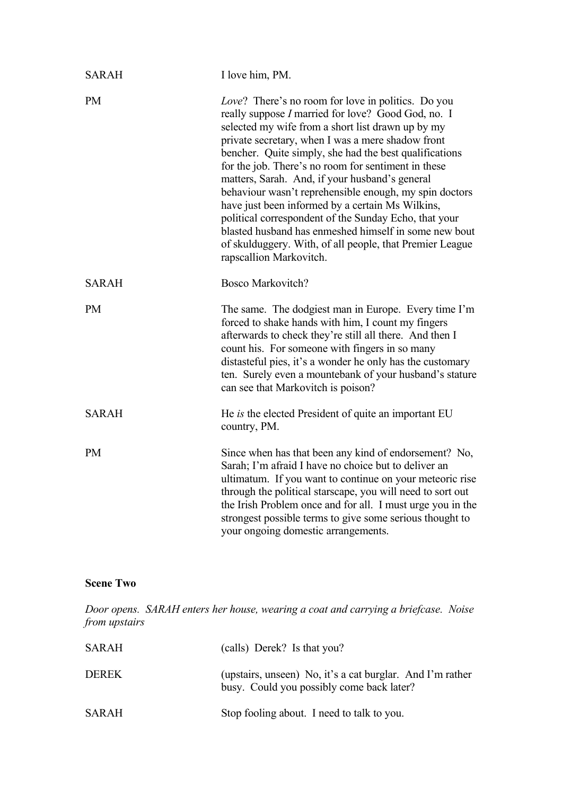| <b>SARAH</b> | I love him, PM.                                                                                                                                                                                                                                                                                                                                                                                                                                                                                                                                                                                                                                                                                                             |
|--------------|-----------------------------------------------------------------------------------------------------------------------------------------------------------------------------------------------------------------------------------------------------------------------------------------------------------------------------------------------------------------------------------------------------------------------------------------------------------------------------------------------------------------------------------------------------------------------------------------------------------------------------------------------------------------------------------------------------------------------------|
| <b>PM</b>    | <i>Love</i> ? There's no room for love in politics. Do you<br>really suppose <i>I</i> married for love? Good God, no. I<br>selected my wife from a short list drawn up by my<br>private secretary, when I was a mere shadow front<br>bencher. Quite simply, she had the best qualifications<br>for the job. There's no room for sentiment in these<br>matters, Sarah. And, if your husband's general<br>behaviour wasn't reprehensible enough, my spin doctors<br>have just been informed by a certain Ms Wilkins,<br>political correspondent of the Sunday Echo, that your<br>blasted husband has enmeshed himself in some new bout<br>of skulduggery. With, of all people, that Premier League<br>rapscallion Markovitch. |
| <b>SARAH</b> | <b>Bosco Markovitch?</b>                                                                                                                                                                                                                                                                                                                                                                                                                                                                                                                                                                                                                                                                                                    |
| <b>PM</b>    | The same. The dodgiest man in Europe. Every time I'm<br>forced to shake hands with him, I count my fingers<br>afterwards to check they're still all there. And then I<br>count his. For someone with fingers in so many<br>distasteful pies, it's a wonder he only has the customary<br>ten. Surely even a mountebank of your husband's stature<br>can see that Markovitch is poison?                                                                                                                                                                                                                                                                                                                                       |
| <b>SARAH</b> | He <i>is</i> the elected President of quite an important EU<br>country, PM.                                                                                                                                                                                                                                                                                                                                                                                                                                                                                                                                                                                                                                                 |
| <b>PM</b>    | Since when has that been any kind of endorsement? No,<br>Sarah; I'm afraid I have no choice but to deliver an<br>ultimatum. If you want to continue on your meteoric rise<br>through the political starscape, you will need to sort out<br>the Irish Problem once and for all. I must urge you in the<br>strongest possible terms to give some serious thought to<br>your ongoing domestic arrangements.                                                                                                                                                                                                                                                                                                                    |

### **Scene Two**

*Door opens. SARAH enters her house, wearing a coat and carrying a briefcase. Noise from upstairs*

| <b>SARAH</b> | (calls) Derek? Is that you?                                                                            |
|--------------|--------------------------------------------------------------------------------------------------------|
| <b>DEREK</b> | (upstairs, unseen) No, it's a cat burglar. And I'm rather<br>busy. Could you possibly come back later? |
| <b>SARAH</b> | Stop fooling about. I need to talk to you.                                                             |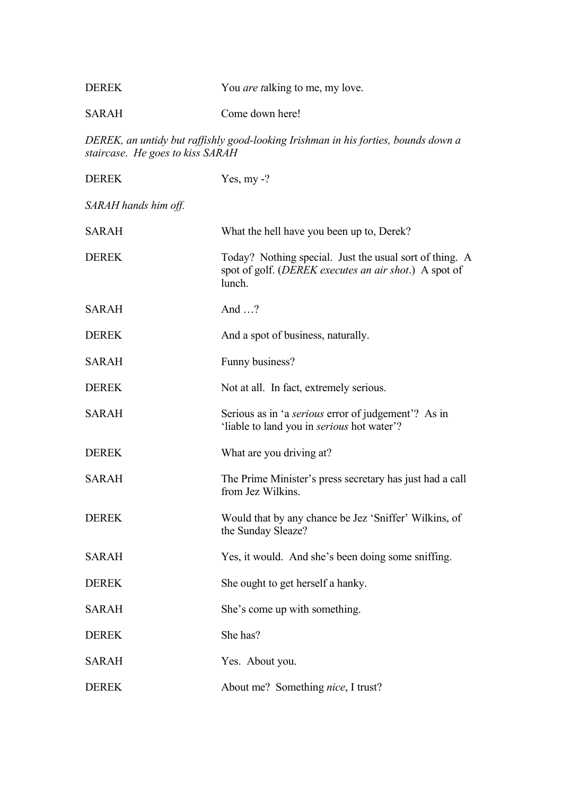| <b>DEREK</b> | You <i>are talking</i> to me, my love. |
|--------------|----------------------------------------|
| <b>SARAH</b> | Come down here!                        |

*DEREK, an untidy but raffishly good-looking Irishman in his forties, bounds down a staircase*. *He goes to kiss SARAH*

| <b>DEREK</b>         | Yes, $my - ?$                                                                                                                       |
|----------------------|-------------------------------------------------------------------------------------------------------------------------------------|
| SARAH hands him off. |                                                                                                                                     |
| <b>SARAH</b>         | What the hell have you been up to, Derek?                                                                                           |
| <b>DEREK</b>         | Today? Nothing special. Just the usual sort of thing. A<br>spot of golf. ( <i>DEREK executes an air shot</i> .) A spot of<br>lunch. |
| <b>SARAH</b>         | And $\ldots$ ?                                                                                                                      |
| <b>DEREK</b>         | And a spot of business, naturally.                                                                                                  |
| <b>SARAH</b>         | Funny business?                                                                                                                     |
| <b>DEREK</b>         | Not at all. In fact, extremely serious.                                                                                             |
| <b>SARAH</b>         | Serious as in 'a <i>serious</i> error of judgement'? As in<br>'liable to land you in <i>serious</i> hot water'?                     |
| <b>DEREK</b>         | What are you driving at?                                                                                                            |
| <b>SARAH</b>         | The Prime Minister's press secretary has just had a call<br>from Jez Wilkins.                                                       |
| <b>DEREK</b>         | Would that by any chance be Jez 'Sniffer' Wilkins, of<br>the Sunday Sleaze?                                                         |
| <b>SARAH</b>         | Yes, it would. And she's been doing some sniffing.                                                                                  |
| <b>DEREK</b>         | She ought to get herself a hanky.                                                                                                   |
| <b>SARAH</b>         | She's come up with something.                                                                                                       |
| <b>DEREK</b>         | She has?                                                                                                                            |
| <b>SARAH</b>         | Yes. About you.                                                                                                                     |
| <b>DEREK</b>         | About me? Something nice, I trust?                                                                                                  |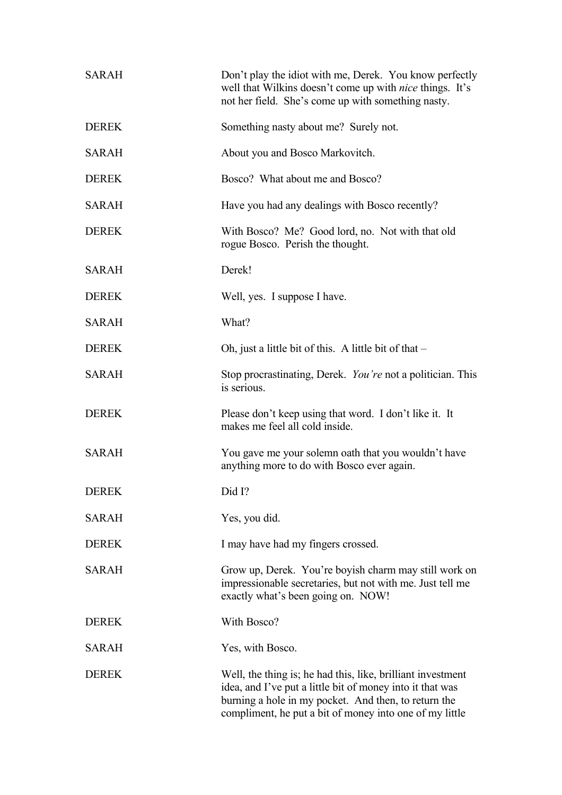| <b>SARAH</b> | Don't play the idiot with me, Derek. You know perfectly<br>well that Wilkins doesn't come up with <i>nice</i> things. It's<br>not her field. She's come up with something nasty.                                                            |
|--------------|---------------------------------------------------------------------------------------------------------------------------------------------------------------------------------------------------------------------------------------------|
| <b>DEREK</b> | Something nasty about me? Surely not.                                                                                                                                                                                                       |
| <b>SARAH</b> | About you and Bosco Markovitch.                                                                                                                                                                                                             |
| <b>DEREK</b> | Bosco? What about me and Bosco?                                                                                                                                                                                                             |
| <b>SARAH</b> | Have you had any dealings with Bosco recently?                                                                                                                                                                                              |
| <b>DEREK</b> | With Bosco? Me? Good lord, no. Not with that old<br>rogue Bosco. Perish the thought.                                                                                                                                                        |
| <b>SARAH</b> | Derek!                                                                                                                                                                                                                                      |
| <b>DEREK</b> | Well, yes. I suppose I have.                                                                                                                                                                                                                |
| <b>SARAH</b> | What?                                                                                                                                                                                                                                       |
| <b>DEREK</b> | Oh, just a little bit of this. A little bit of that $-$                                                                                                                                                                                     |
| <b>SARAH</b> | Stop procrastinating, Derek. You're not a politician. This<br>is serious.                                                                                                                                                                   |
| <b>DEREK</b> | Please don't keep using that word. I don't like it. It<br>makes me feel all cold inside.                                                                                                                                                    |
| <b>SARAH</b> | You gave me your solemn oath that you wouldn't have<br>anything more to do with Bosco ever again.                                                                                                                                           |
| <b>DEREK</b> | Did I?                                                                                                                                                                                                                                      |
| <b>SARAH</b> | Yes, you did.                                                                                                                                                                                                                               |
| <b>DEREK</b> | I may have had my fingers crossed.                                                                                                                                                                                                          |
| <b>SARAH</b> | Grow up, Derek. You're boyish charm may still work on<br>impressionable secretaries, but not with me. Just tell me<br>exactly what's been going on. NOW!                                                                                    |
| <b>DEREK</b> | With Bosco?                                                                                                                                                                                                                                 |
| <b>SARAH</b> | Yes, with Bosco.                                                                                                                                                                                                                            |
| <b>DEREK</b> | Well, the thing is; he had this, like, brilliant investment<br>idea, and I've put a little bit of money into it that was<br>burning a hole in my pocket. And then, to return the<br>compliment, he put a bit of money into one of my little |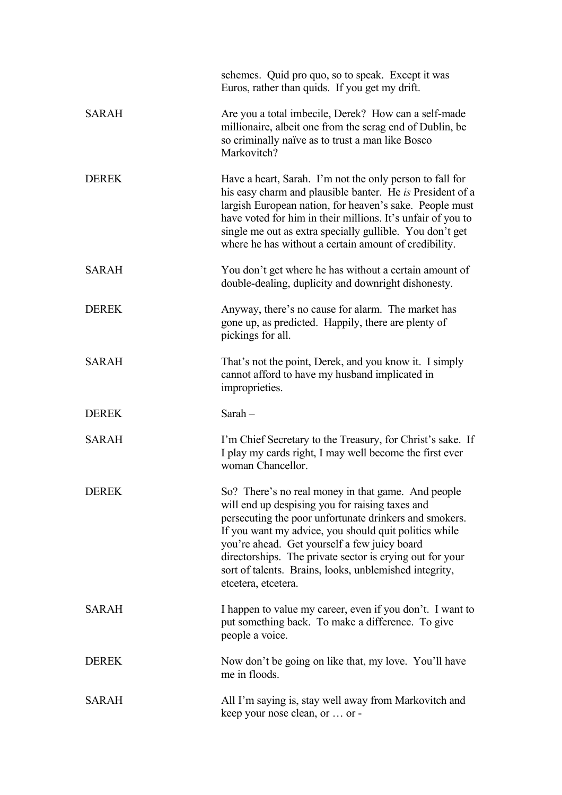|              | schemes. Quid pro quo, so to speak. Except it was<br>Euros, rather than quids. If you get my drift.                                                                                                                                                                                                                                                                                                                   |
|--------------|-----------------------------------------------------------------------------------------------------------------------------------------------------------------------------------------------------------------------------------------------------------------------------------------------------------------------------------------------------------------------------------------------------------------------|
| <b>SARAH</b> | Are you a total imbecile, Derek? How can a self-made<br>millionaire, albeit one from the scrag end of Dublin, be<br>so criminally naïve as to trust a man like Bosco<br>Markovitch?                                                                                                                                                                                                                                   |
| <b>DEREK</b> | Have a heart, Sarah. I'm not the only person to fall for<br>his easy charm and plausible banter. He is President of a<br>largish European nation, for heaven's sake. People must<br>have voted for him in their millions. It's unfair of you to<br>single me out as extra specially gullible. You don't get<br>where he has without a certain amount of credibility.                                                  |
| <b>SARAH</b> | You don't get where he has without a certain amount of<br>double-dealing, duplicity and downright dishonesty.                                                                                                                                                                                                                                                                                                         |
| <b>DEREK</b> | Anyway, there's no cause for alarm. The market has<br>gone up, as predicted. Happily, there are plenty of<br>pickings for all.                                                                                                                                                                                                                                                                                        |
| <b>SARAH</b> | That's not the point, Derek, and you know it. I simply<br>cannot afford to have my husband implicated in<br>improprieties.                                                                                                                                                                                                                                                                                            |
| <b>DEREK</b> | Sarah $-$                                                                                                                                                                                                                                                                                                                                                                                                             |
| <b>SARAH</b> | I'm Chief Secretary to the Treasury, for Christ's sake. If<br>I play my cards right, I may well become the first ever<br>woman Chancellor.                                                                                                                                                                                                                                                                            |
| <b>DEREK</b> | So? There's no real money in that game. And people<br>will end up despising you for raising taxes and<br>persecuting the poor unfortunate drinkers and smokers.<br>If you want my advice, you should quit politics while<br>you're ahead. Get yourself a few juicy board<br>directorships. The private sector is crying out for your<br>sort of talents. Brains, looks, unblemished integrity,<br>etcetera, etcetera. |
| <b>SARAH</b> | I happen to value my career, even if you don't. I want to<br>put something back. To make a difference. To give<br>people a voice.                                                                                                                                                                                                                                                                                     |
| <b>DEREK</b> | Now don't be going on like that, my love. You'll have<br>me in floods.                                                                                                                                                                                                                                                                                                                                                |
| <b>SARAH</b> | All I'm saying is, stay well away from Markovitch and<br>keep your nose clean, or  or -                                                                                                                                                                                                                                                                                                                               |